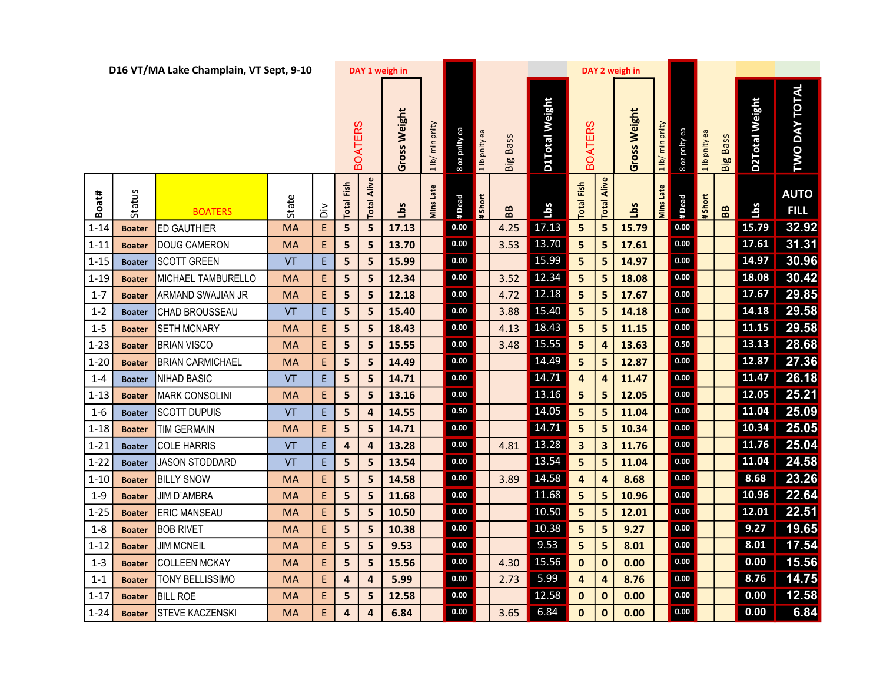| D16 VT/MA Lake Champlain, VT Sept, 9-10 |               |                          |           |                                            |                | DAY 1 weigh in          |              |                 |                  |               |                 |                                  |                         | DAY 2 weigh in |              |                |                     |               |                   |                |                            |
|-----------------------------------------|---------------|--------------------------|-----------|--------------------------------------------|----------------|-------------------------|--------------|-----------------|------------------|---------------|-----------------|----------------------------------|-------------------------|----------------|--------------|----------------|---------------------|---------------|-------------------|----------------|----------------------------|
|                                         |               |                          |           |                                            | <b>BOATERS</b> |                         | Gross Weight | 1 lb/ min pnlty | 8 oz pnity ea    | 1 lb pnlty ea | <b>Big Bass</b> | D1Total Weight<br><b>BOATERS</b> |                         |                | Gross Weight | pnity<br>1 lb/ | B oz pnity ea       | 1 lb pnity ea | <b>Big Bass</b>   | D2Total Weight | DAY TOTAL<br><b>DWO</b>    |
| Boat#                                   | <b>Status</b> | <b>BOATERS</b>           | State     | ăά                                         | Fish<br>Total  | Alive<br>Total          | <u>aq</u>    | Mins Late       | #Dead            | #Short        | 88              | Lbs                              | <b>Total Fish</b>       | Alive<br>Total | <b>SqT</b>   | Mins Late      | #Dead               | #Short        | ${\bf B} {\bf B}$ | Lbs            | <b>AUTO</b><br><b>FILL</b> |
| $1 - 14$                                | <b>Boater</b> | IED GAUTHIER             | <b>MA</b> | E                                          | 5              | 5                       | 17.13        |                 | $0.00\,$         |               | 4.25            | 17.13                            | 5                       | 5              | 15.79        |                | $0.00\,$            |               |                   | 15.79          | 32.92                      |
| $1 - 11$                                | <b>Boater</b> | DOUG CAMERON             | <b>MA</b> | $\mathsf{E}% _{0}\left( \mathsf{E}\right)$ | 5              | 5                       | 13.70        |                 | 0.00             |               | 3.53            | 13.70                            | 5                       | 5              | 17.61        |                | $\boldsymbol{0.00}$ |               |                   | $17.61$        | 31.31                      |
| $1 - 15$                                | <b>Boater</b> | <b>SCOTT GREEN</b>       | VT        | $\mathsf E$                                | 5              | 5                       | 15.99        |                 | 0.00             |               |                 | 15.99                            | 5                       | 5              | 14.97        |                | $0.00\,$            |               |                   | 14.97          | 30.96                      |
| $1 - 19$                                | <b>Boater</b> | MICHAEL TAMBURELLO       | <b>MA</b> | E                                          | 5              | 5                       | 12.34        |                 | $0.00\,$         |               | 3.52            | 12.34                            | 5                       | 5              | 18.08        |                | 0.00                |               |                   | 18.08          | 30.42                      |
| $1 - 7$                                 | <b>Boater</b> | <b>ARMAND SWAJIAN JR</b> | MA        | E                                          | 5              | 5                       | 12.18        |                 | 0.00             |               | 4.72            | 12.18                            | 5                       | 5              | 17.67        |                | $0.00\,$            |               |                   | 17.67          | 29.85                      |
| $1 - 2$                                 | <b>Boater</b> | CHAD BROUSSEAU           | VT        | $\mathsf{E}% _{0}\left( \mathsf{E}\right)$ | 5              | 5                       | 15.40        |                 | $0.00\,$         |               | 3.88            | 15.40                            | 5                       | 5              | 14.18        |                | $0.00\,$            |               |                   | 14.18          | 29.58                      |
| $1 - 5$                                 | <b>Boater</b> | <b>SETH MCNARY</b>       | <b>MA</b> | E                                          | 5              | 5                       | 18.43        |                 | $0.00\,$         |               | 4.13            | 18.43                            | 5                       | 5              | 11.15        |                | $0.00\,$            |               |                   | $11.15$        | 29.58                      |
| $1 - 23$                                | <b>Boater</b> | <b>BRIAN VISCO</b>       | <b>MA</b> | E                                          | 5              | 5                       | 15.55        |                 | 0.00             |               | 3.48            | 15.55                            | 5                       | 4              | 13.63        |                | 0.50                |               |                   | 13.13          | 28.68                      |
| $1 - 20$                                | <b>Boater</b> | <b>BRIAN CARMICHAEL</b>  | <b>MA</b> | E                                          | 5              | 5                       | 14.49        |                 | 0.00             |               |                 | 14.49                            | 5                       | 5              | 12.87        |                | $0.00\,$            |               |                   | 12.87          | 27.36                      |
| $1 - 4$                                 | <b>Boater</b> | NIHAD BASIC              | VT        | $\mathsf E$                                | 5              | 5                       | 14.71        |                 | 0.00             |               |                 | 14.71                            | 4                       | 4              | 11.47        |                | $0.00\,$            |               |                   | 11.47          | 26.18                      |
| $1 - 13$                                | <b>Boater</b> | MARK CONSOLINI           | <b>MA</b> | E                                          | 5              | 5                       | 13.16        |                 | $0.00\,$         |               |                 | 13.16                            | 5                       | 5              | 12.05        |                | 0.00                |               |                   | 12.05          | 25.21                      |
| $1 - 6$                                 | <b>Boater</b> | <b>SCOTT DUPUIS</b>      | VT        | $\mathsf E$                                | 5              | $\boldsymbol{4}$        | 14.55        |                 | 0.50             |               |                 | 14.05                            | 5                       | 5              | 11.04        |                | 0.00                |               |                   | 11.04          | 25.09                      |
| $1 - 18$                                | <b>Boater</b> | TIM GERMAIN              | <b>MA</b> | E                                          | 5              | 5                       | 14.71        |                 | $0.00\,$         |               |                 | 14.71                            | 5                       | 5              | 10.34        |                | $0.00\,$            |               |                   | 10.34          | 25.05                      |
| $1 - 21$                                | <b>Boater</b> | COLE HARRIS              | VT        | $\mathsf{E}% _{0}\left( \mathsf{E}\right)$ | 4              | $\overline{\mathbf{4}}$ | 13.28        |                 | 0.00             |               | 4.81            | 13.28                            | $\overline{\mathbf{3}}$ | 3              | 11.76        |                | 0.00                |               |                   | 11.76          | 25.04                      |
| $1 - 22$                                | <b>Boater</b> | <b>JASON STODDARD</b>    | VT        | $\mathsf E$                                | 5              | 5                       | 13.54        |                 | $0.00\,$         |               |                 | 13.54                            | 5                       | 5              | 11.04        |                | $0.00\,$            |               |                   | 11.04          | 24.58                      |
| $1 - 10$                                | <b>Boater</b> | <b>BILLY SNOW</b>        | <b>MA</b> | $\mathsf{E}% _{0}\left( \mathsf{E}\right)$ | 5              | 5                       | 14.58        |                 | 0.00             |               | 3.89            | 14.58                            | 4                       | 4              | 8.68         |                | 0.00                |               |                   | 8.68           | 23.26                      |
| $1 - 9$                                 | <b>Boater</b> | <b>JIM D'AMBRA</b>       | <b>MA</b> | E                                          | 5              | 5                       | 11.68        |                 | $0.00\,$         |               |                 | 11.68                            | 5                       | 5              | 10.96        |                | $0.00\,$            |               |                   | 10.96          | 22.64                      |
| $1 - 25$                                | <b>Boater</b> | <b>ERIC MANSEAU</b>      | <b>MA</b> | $\mathsf{E}% _{0}\left( \mathsf{E}\right)$ | 5              | 5                       | 10.50        |                 | 0.00             |               |                 | 10.50                            | 5                       | 5              | 12.01        |                | $0.00\,$            |               |                   | 12.01          | 22.51                      |
| $1 - 8$                                 | <b>Boater</b> | <b>BOB RIVET</b>         | <b>MA</b> | $\mathsf{E}% _{0}\left( \mathsf{E}\right)$ | 5              | $\overline{\mathbf{5}}$ | 10.38        |                 | 0.00             |               |                 | 10.38                            | 5                       | 5              | 9.27         |                | $0.00\,$            |               |                   | 9.27           | 19.65                      |
| $1 - 12$                                | <b>Boater</b> | <b>JIM MCNEIL</b>        | <b>MA</b> | $\mathsf{E}% _{0}\left( \mathsf{E}\right)$ | 5              | 5                       | 9.53         |                 | 0.00<br>$0.00\,$ |               |                 | 9.53                             | 5                       | 5              | 8.01         |                | 0.00<br>$0.00\,$    |               |                   | 8.01           | 17.54                      |
| $1 - 3$                                 | <b>Boater</b> | <b>COLLEEN MCKAY</b>     | <b>MA</b> | $\mathsf{E}% _{0}\left( \mathsf{E}\right)$ | 5              | 5                       | 15.56        |                 |                  |               | 4.30            | 15.56                            | $\mathbf 0$             | $\bf{0}$       | 0.00         |                |                     |               |                   | 0.00           | 15.56                      |
| $1 - 1$                                 | <b>Boater</b> | TONY BELLISSIMO          | <b>MA</b> | $\mathsf{E}% _{0}\left( \mathsf{E}\right)$ | 4              | $\boldsymbol{4}$        | 5.99         |                 | 0.00             |               | 2.73            | 5.99                             | $\overline{4}$          | $\overline{4}$ | 8.76         |                | 0.00                |               |                   | 8.76           | 14.75                      |
| $1 - 17$                                | <b>Boater</b> | <b>BILL ROE</b>          | <b>MA</b> | $\mathsf{E}% _{0}\left( \mathsf{E}\right)$ | 5              | 5                       | 12.58        |                 | $0.00\,$<br>0.00 |               |                 | 12.58<br>6.84                    | $\mathbf 0$             | $\bf{0}$       | 0.00         |                | $0.00\,$<br>0.00    |               |                   | 0.00<br>0.00   | 12.58                      |
| $1 - 24$                                | <b>Boater</b> | <b>STEVE KACZENSKI</b>   | <b>MA</b> | E                                          | 4              | 4                       | 6.84         |                 |                  |               | 3.65            |                                  | $\mathbf{0}$            | $\mathbf 0$    | 0.00         |                |                     |               |                   |                | 6.84                       |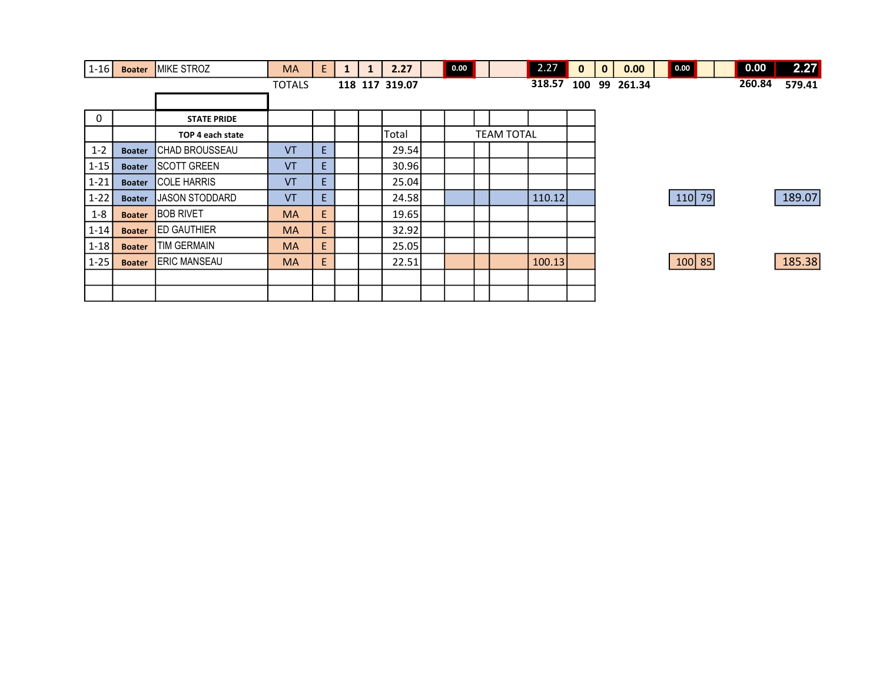| $1-16$      | <b>Boater</b> | MIKE STROZ             | <b>MA</b>     | E. | $\mathbf{1}$ | 2.27           | 0.00 |                   | 2.27   | $\mathbf{0}$ | $\mathbf{0}$ | 0.00      | 0.00     |  | 0.00   | 2.27   |
|-------------|---------------|------------------------|---------------|----|--------------|----------------|------|-------------------|--------|--------------|--------------|-----------|----------|--|--------|--------|
|             |               |                        | <b>TOTALS</b> |    |              | 118 117 319.07 |      |                   | 318.57 | 100          |              | 99 261.34 |          |  | 260.84 | 579.41 |
|             |               |                        |               |    |              |                |      |                   |        |              |              |           |          |  |        |        |
| $\mathbf 0$ |               | <b>STATE PRIDE</b>     |               |    |              |                |      |                   |        |              |              |           |          |  |        |        |
|             |               | TOP 4 each state       |               |    |              | Total          |      | <b>TEAM TOTAL</b> |        |              |              |           |          |  |        |        |
| $1 - 2$     | <b>Boater</b> | <b>CHAD BROUSSEAU</b>  | VT            | E  |              | 29.54          |      |                   |        |              |              |           |          |  |        |        |
| $1 - 15$    | <b>Boater</b> | <b>ISCOTT GREEN</b>    | VT            | E. |              | 30.96          |      |                   |        |              |              |           |          |  |        |        |
| $1 - 21$    | <b>Boater</b> | <b>COLE HARRIS</b>     | <b>VT</b>     | E. |              | 25.04          |      |                   |        |              |              |           |          |  |        |        |
| $1 - 22$    | <b>Boater</b> | <b>IJASON STODDARD</b> | <b>VT</b>     | E. |              | 24.58          |      |                   | 110.12 |              |              |           | $110$ 79 |  |        | 189.07 |
| $1 - 8$     | <b>Boater</b> | <b>BOB RIVET</b>       | <b>MA</b>     | E. |              | 19.65          |      |                   |        |              |              |           |          |  |        |        |
| $1 - 14$    | <b>Boater</b> | <b>ED GAUTHIER</b>     | <b>MA</b>     | E  |              | 32.92          |      |                   |        |              |              |           |          |  |        |        |
| $1 - 18$    | <b>Boater</b> | <b>ITIM GERMAIN</b>    | <b>MA</b>     | E  |              | 25.05          |      |                   |        |              |              |           |          |  |        |        |
| $1 - 25$    | <b>Boater</b> | <b>ERIC MANSEAU</b>    | <b>MA</b>     | E  |              | 22.51          |      |                   | 100.13 |              |              |           | $100$ 85 |  |        | 185.38 |
|             |               |                        |               |    |              |                |      |                   |        |              |              |           |          |  |        |        |
|             |               |                        |               |    |              |                |      |                   |        |              |              |           |          |  |        |        |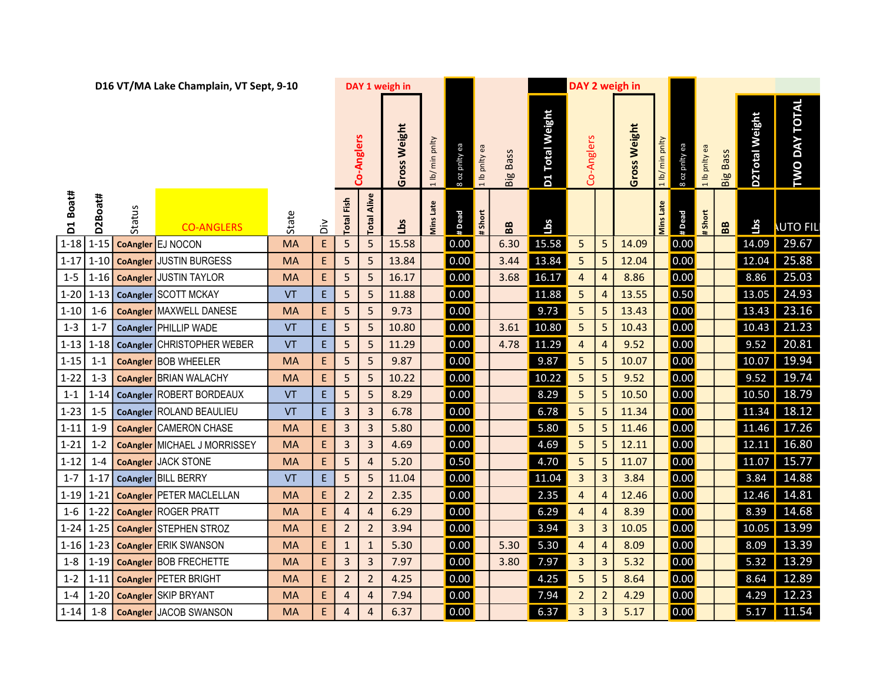|                    |             |                 | D16 VT/MA Lake Champlain, VT Sept, 9-10            |                 |                                            |                                  |                                  | DAY 1 weigh in |                   |               |               |                 |                 |                         |                     | DAY 2 weigh in |                 |               |               |                 |                |                      |  |
|--------------------|-------------|-----------------|----------------------------------------------------|-----------------|--------------------------------------------|----------------------------------|----------------------------------|----------------|-------------------|---------------|---------------|-----------------|-----------------|-------------------------|---------------------|----------------|-----------------|---------------|---------------|-----------------|----------------|----------------------|--|
|                    |             |                 |                                                    |                 |                                            |                                  | Co-Anglers                       | Gross Weight   | 1 lb/ min pnlty   | 8 oz pnity ea | 1 lb pnity ea | <b>Big Bass</b> | D1 Total Weight |                         | Co-Anglers          | Gross Weight   | 1 Ib/ min pnlty | 8 oz pnity ea | 1 lb pnity ea | <b>Big Bass</b> | D2Total Weight | <b>TWO DAY TOTAL</b> |  |
| D1 Boat#           | D2Boat#     | Status          | <b>CO-ANGLERS</b>                                  | State           | òί                                         | Fish<br>Total                    | Alive<br>Total                   | <b>Lbs</b>     | <b>Viins Late</b> | #Dead         | Short         | BB              | Lbs             |                         |                     |                | Mins Late       | # Dead        | #Short        | BB              | Lbs            | <b>NUTO FIL</b>      |  |
|                    | $1-18$ 1-15 |                 | CoAngler EJ NOCON                                  | <b>MA</b>       | E                                          | 5                                | 5                                | 15.58          |                   | 0.00          |               | 6.30            | 15.58           | 5                       | 5                   | 14.09          |                 | 0.00          |               |                 | 14.09          | 29.67                |  |
| $1 - 17$           | $1 - 10$    | <b>CoAngler</b> | <b>JUSTIN BURGESS</b>                              | <b>MA</b>       | E,                                         | 5                                | 5                                | 13.84          |                   | 0.00          |               | 3.44            | 13.84           | 5                       | 5                   | 12.04          |                 | 0.00          |               |                 | 12.04          | 25.88                |  |
| $1 - 5$            | $1 - 16$    |                 | <b>CoAngler JUSTIN TAYLOR</b>                      | <b>MA</b>       | $\mathsf{E}$                               | 5                                | 5                                | 16.17          |                   | 0.00          |               | 3.68            | 16.17           | $\overline{4}$          | $\overline{4}$      | 8.86           |                 | 0.00          |               |                 | 8.86           | 25.03                |  |
| $1 - 20$           |             |                 | 1-13 CoAngler SCOTT MCKAY                          | VT              | $\mathsf{E}$                               | 5                                | 5                                | 11.88          |                   | 0.00          |               |                 | 11.88           | 5                       | $\overline{4}$      | 13.55          |                 | 0.50          |               |                 | 13.05          | 24.93                |  |
| $1 - 10$           | $1 - 6$     |                 | <b>CoAngler MAXWELL DANESE</b>                     | MA              | $\mathsf{E}% _{0}\left( \mathsf{E}\right)$ | 5                                | 5                                | 9.73           |                   | 0.00          |               |                 | 9.73            | 5                       | 5                   | 13.43          |                 | 0.00          |               |                 | 13.43          | 23.16                |  |
| $1 - 3$            | $1 - 7$     |                 | CoAngler PHILLIP WADE                              | VT              | $\mathsf{E}$                               | 5                                | 5                                | 10.80          |                   | 0.00          |               | 3.61            | 10.80           | 5                       | 5                   | 10.43          |                 | 0.00          |               |                 | 10.43          | 21.23                |  |
| $1 - 13$           |             |                 | 1-18   CoAngler CHRISTOPHER WEBER                  | VT              | $\mathsf{E}$                               | 5                                | 5                                | 11.29          |                   | 0.00          |               | 4.78            | 11.29           | 4                       | $\overline{a}$      | 9.52           |                 | 0.00          |               |                 | 9.52           | 20.81                |  |
| $1 - 15$           | $1 - 1$     |                 | CoAngler BOB WHEELER                               | <b>MA</b>       | E                                          | 5                                | 5                                | 9.87           |                   | 0.00          |               |                 | 9.87            | 5                       | 5                   | 10.07          |                 | 0.00          |               |                 | 10.07          | 19.94                |  |
| $1 - 22$           | $1 - 3$     |                 | <b>CoAngler</b> BRIAN WALACHY                      | MA              | E                                          | 5                                | 5                                | 10.22          |                   | 0.00          |               |                 | 10.22           | 5                       | 5                   | 9.52           |                 | 0.00          |               |                 | 9.52           | 19.74                |  |
| $1 - 1$            | $1 - 14$    |                 | CoAngler ROBERT BORDEAUX                           | VT              | E.                                         | 5                                | 5                                | 8.29           |                   | 0.00          |               |                 | 8.29            | 5                       | 5                   | 10.50          |                 | 0.00          |               |                 | 10.50          | 18.79                |  |
| $1 - 23$           | $1 - 5$     |                 | CoAngler ROLAND BEAULIEU                           | <b>VT</b>       | E.                                         | 3                                | $\mathbf{3}$                     | 6.78           |                   | 0.00          |               |                 | 6.78            | $\overline{\mathbf{5}}$ | 5                   | 11.34          |                 | 0.00          |               |                 | 11.34          | 18.12                |  |
| $1 - 11$           | $1 - 9$     |                 | <b>CoAngler</b> CAMERON CHASE                      | MA              | E                                          | 3                                | 3                                | 5.80           |                   | 0.00          |               |                 | 5.80            | 5                       | 5                   | 11.46          |                 | 0.00          |               |                 | 11.46          | 17.26                |  |
| $1 - 21$           | $1 - 2$     |                 | <b>CoAngler</b> MICHAEL J MORRISSEY                | <b>MA</b>       | E                                          | 3                                | 3                                | 4.69           |                   | 0.00          |               |                 | 4.69            | 5                       | 5                   | 12.11          |                 | 0.00          |               |                 | 12.11          | 16.80                |  |
| $1 - 12$           | $1 - 4$     |                 | <b>CoAngler JACK STONE</b>                         | <b>MA</b>       | E                                          | 5                                | $\overline{4}$                   | 5.20           |                   | 0.50          |               |                 | 4.70            | 5                       | 5                   | 11.07          |                 | 0.00          |               |                 |                | 11.07 15.77          |  |
| $1 - 7$            | $1 - 17$    |                 | CoAngler BILL BERRY                                | <b>VT</b>       | E.                                         | 5                                | 5                                | 11.04          |                   | 0.00          |               |                 | 11.04           | $\mathbf{3}$            | 3                   | 3.84           |                 | 0.00          |               |                 | 3.84           | 14.88                |  |
| $1 - 19$           | $1 - 21$    |                 | <b>CoAngler PETER MACLELLAN</b>                    | <b>MA</b>       | E                                          | $\overline{2}$                   | $\overline{2}$                   | 2.35           |                   | 0.00          |               |                 | 2.35            | $\overline{a}$          | $\overline{4}$      | 12.46          |                 | 0.00          |               |                 | 12.46          | 14.81                |  |
| $1-6$              |             |                 | 1-22 CoAngler ROGER PRATT                          | <b>MA</b>       | E                                          | 4                                | $\overline{4}$                   | 6.29           |                   | 0.00          |               |                 | 6.29            | $\overline{4}$          | $\overline{4}$      | 8.39           |                 | 0.00          |               |                 | 8.39           | 14.68                |  |
| $1 - 24$           |             |                 | 1-25   CoAngler STEPHEN STROZ                      | <b>MA</b>       | E,                                         | $\overline{2}$                   | $\overline{2}$                   | 3.94           |                   | 0.00          |               |                 | 3.94            | $\overline{3}$          | 3                   | 10.05          |                 | 0.00          |               |                 | 10.05          | 13.99                |  |
| $1 - 16$           | $1 - 23$    |                 | <b>CoAngler</b> ERIK SWANSON                       | <b>MA</b>       | E                                          | $\mathbf{1}$                     | $\mathbf{1}$                     | 5.30           |                   | 0.00          |               | 5.30            | 5.30            | $\overline{4}$          | $\overline{4}$      | 8.09           |                 | 0.00          |               |                 | 8.09           | 13.39                |  |
| $1-8$              |             |                 | 1-19   CoAngler BOB FRECHETTE                      | <b>MA</b>       | $\mathsf{E}% _{0}\left( \mathsf{E}\right)$ | 3                                | $\mathbf{3}$                     | 7.97           |                   | 0.00<br>0.00  |               | 3.80            | 7.97            | $\mathbf{3}$            | $\overline{3}$      | 5.32<br>8.64   |                 | 0.00<br> 0.00 |               |                 | 5.32           | 13.29<br>12.89       |  |
| $1 - 2$<br>$1 - 4$ | $1 - 11$    |                 | CoAngler PETER BRIGHT<br>1-20 CoAngler SKIP BRYANT | MA<br><b>MA</b> | E<br>E                                     | $\overline{2}$<br>$\overline{4}$ | $\overline{2}$<br>$\overline{4}$ | 4.25<br>7.94   |                   | 0.00          |               |                 | 4.25<br>7.94    | 5<br>$\overline{2}$     | 5<br>$\overline{2}$ | 4.29           |                 | 0.00          |               |                 | 8.64<br>4.29   | 12.23                |  |
| $1 - 14$           |             |                 | 1-8   CoAngler JACOB SWANSON                       | <b>MA</b>       | E.                                         |                                  | 4                                | 6.37           |                   | 0.00          |               |                 | 6.37            | $\mathbf{3}$            | $\mathbf{3}$        | 5.17           |                 | 0.00          |               |                 | 5.17           | 11.54                |  |
|                    |             |                 |                                                    |                 |                                            | 4                                |                                  |                |                   |               |               |                 |                 |                         |                     |                |                 |               |               |                 |                |                      |  |